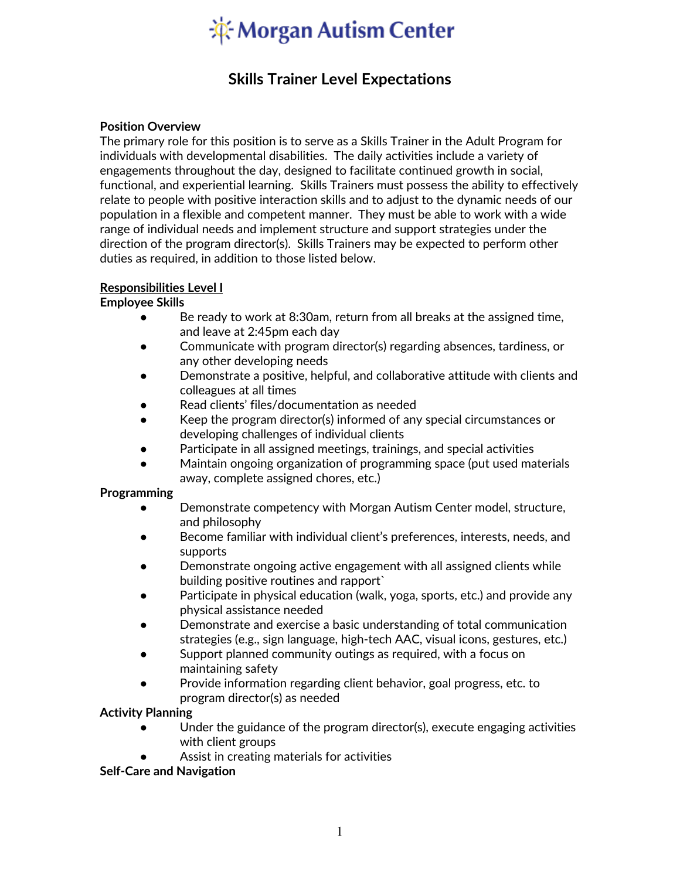# **K** Morgan Autism Center

# **Skills Trainer Level Expectations**

### **Position Overview**

The primary role for this position is to serve as a Skills Trainer in the Adult Program for individuals with developmental disabilities. The daily activities include a variety of engagements throughout the day, designed to facilitate continued growth in social, functional, and experiential learning. Skills Trainers must possess the ability to effectively relate to people with positive interaction skills and to adjust to the dynamic needs of our population in a flexible and competent manner. They must be able to work with a wide range of individual needs and implement structure and support strategies under the direction of the program director(s). Skills Trainers may be expected to perform other duties as required, in addition to those listed below.

### **Responsibilities Level I**

#### **Employee Skills**

- Be ready to work at 8:30am, return from all breaks at the assigned time, and leave at 2:45pm each day
- Communicate with program director(s) regarding absences, tardiness, or any other developing needs
- Demonstrate a positive, helpful, and collaborative attitude with clients and colleagues at all times
- Read clients' files/documentation as needed
- Keep the program director(s) informed of any special circumstances or developing challenges of individual clients
- Participate in all assigned meetings, trainings, and special activities
- Maintain ongoing organization of programming space (put used materials away, complete assigned chores, etc.)

#### **Programming**

- Demonstrate competency with Morgan Autism Center model, structure, and philosophy
- Become familiar with individual client's preferences, interests, needs, and supports
- Demonstrate ongoing active engagement with all assigned clients while building positive routines and rapport`
- Participate in physical education (walk, yoga, sports, etc.) and provide any physical assistance needed
- Demonstrate and exercise a basic understanding of total communication strategies (e.g., sign language, high-tech AAC, visual icons, gestures, etc.)
- Support planned community outings as required, with a focus on maintaining safety
- Provide information regarding client behavior, goal progress, etc. to program director(s) as needed

#### **Activity Planning**

- Under the guidance of the program director(s), execute engaging activities with client groups
- Assist in creating materials for activities

# **Self-Care and Navigation**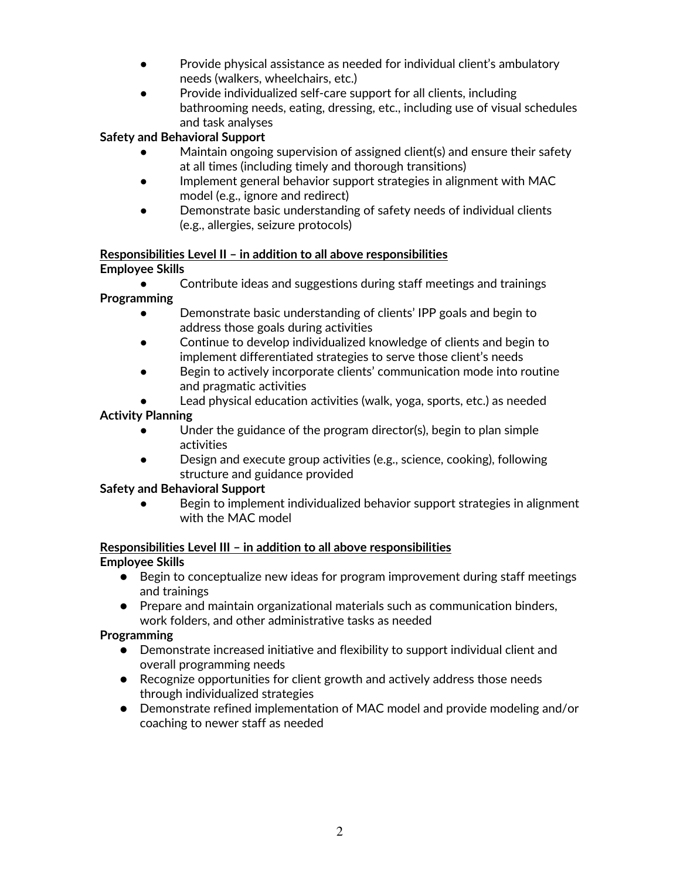- Provide physical assistance as needed for individual client's ambulatory needs (walkers, wheelchairs, etc.)
- Provide individualized self-care support for all clients, including bathrooming needs, eating, dressing, etc., including use of visual schedules and task analyses

# **Safety and Behavioral Support**

- Maintain ongoing supervision of assigned client(s) and ensure their safety at all times (including timely and thorough transitions)
- Implement general behavior support strategies in alignment with MAC model (e.g., ignore and redirect)
- Demonstrate basic understanding of safety needs of individual clients (e.g., allergies, seizure protocols)

#### **Responsibilities Level II – in addition to all above responsibilities Employee Skills**

- Contribute ideas and suggestions during staff meetings and trainings **Programming**
	- Demonstrate basic understanding of clients' IPP goals and begin to address those goals during activities
	- Continue to develop individualized knowledge of clients and begin to implement differentiated strategies to serve those client's needs
	- Begin to actively incorporate clients' communication mode into routine and pragmatic activities
	- Lead physical education activities (walk, yoga, sports, etc.) as needed

# **Activity Planning**

- Under the guidance of the program director(s), begin to plan simple activities
- Design and execute group activities (e.g., science, cooking), following structure and guidance provided

# **Safety and Behavioral Support**

Begin to implement individualized behavior support strategies in alignment with the MAC model

# **Responsibilities Level III – in addition to all above responsibilities**

**Employee Skills**

- Begin to conceptualize new ideas for program improvement during staff meetings and trainings
- Prepare and maintain organizational materials such as communication binders, work folders, and other administrative tasks as needed

# **Programming**

- Demonstrate increased initiative and flexibility to support individual client and overall programming needs
- Recognize opportunities for client growth and actively address those needs through individualized strategies
- Demonstrate refined implementation of MAC model and provide modeling and/or coaching to newer staff as needed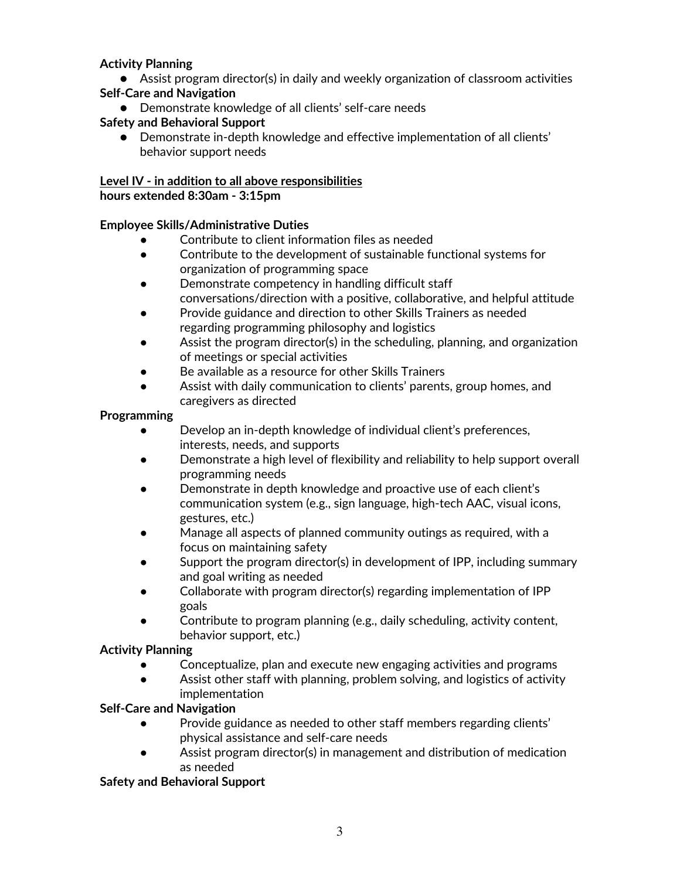# **Activity Planning**

● Assist program director(s) in daily and weekly organization of classroom activities

# **Self-Care and Navigation**

● Demonstrate knowledge of all clients' self-care needs

# **Safety and Behavioral Support**

● Demonstrate in-depth knowledge and effective implementation of all clients' behavior support needs

# **Level IV - in addition to all above responsibilities**

**hours extended 8:30am - 3:15pm**

# **Employee Skills/Administrative Duties**

- Contribute to client information files as needed
- Contribute to the development of sustainable functional systems for organization of programming space
- Demonstrate competency in handling difficult staff conversations/direction with a positive, collaborative, and helpful attitude
- Provide guidance and direction to other Skills Trainers as needed regarding programming philosophy and logistics
- Assist the program director(s) in the scheduling, planning, and organization of meetings or special activities
- Be available as a resource for other Skills Trainers
- Assist with daily communication to clients' parents, group homes, and caregivers as directed

# **Programming**

- Develop an in-depth knowledge of individual client's preferences, interests, needs, and supports
- Demonstrate a high level of flexibility and reliability to help support overall programming needs
- Demonstrate in depth knowledge and proactive use of each client's communication system (e.g., sign language, high-tech AAC, visual icons, gestures, etc.)
- Manage all aspects of planned community outings as required, with a focus on maintaining safety
- Support the program director(s) in development of IPP, including summary and goal writing as needed
- Collaborate with program director(s) regarding implementation of IPP goals
- Contribute to program planning (e.g., daily scheduling, activity content, behavior support, etc.)

# **Activity Planning**

- Conceptualize, plan and execute new engaging activities and programs
- Assist other staff with planning, problem solving, and logistics of activity implementation

# **Self-Care and Navigation**

- Provide guidance as needed to other staff members regarding clients' physical assistance and self-care needs
- Assist program director(s) in management and distribution of medication as needed

# **Safety and Behavioral Support**